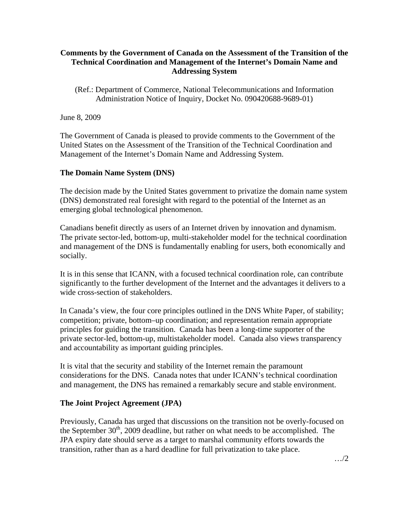# **Comments by the Government of Canada on the Assessment of the Transition of the Technical Coordination and Management of the Internet's Domain Name and Addressing System**

(Ref.: Department of Commerce, National Telecommunications and Information Administration Notice of Inquiry, Docket No. 090420688-9689-01)

June 8, 2009

The Government of Canada is pleased to provide comments to the Government of the United States on the Assessment of the Transition of the Technical Coordination and Management of the Internet's Domain Name and Addressing System.

# **The Domain Name System (DNS)**

The decision made by the United States government to privatize the domain name system (DNS) demonstrated real foresight with regard to the potential of the Internet as an emerging global technological phenomenon.

Canadians benefit directly as users of an Internet driven by innovation and dynamism. The private sector-led, bottom-up, multi-stakeholder model for the technical coordination and management of the DNS is fundamentally enabling for users, both economically and socially.

It is in this sense that ICANN, with a focused technical coordination role, can contribute significantly to the further development of the Internet and the advantages it delivers to a wide cross-section of stakeholders.

In Canada's view, the four core principles outlined in the DNS White Paper, of stability; competition; private, bottom–up coordination; and representation remain appropriate principles for guiding the transition. Canada has been a long-time supporter of the private sector-led, bottom-up, multistakeholder model. Canada also views transparency and accountability as important guiding principles.

It is vital that the security and stability of the Internet remain the paramount considerations for the DNS. Canada notes that under ICANN's technical coordination and management, the DNS has remained a remarkably secure and stable environment.

## **The Joint Project Agreement (JPA)**

Previously, Canada has urged that discussions on the transition not be overly-focused on the September  $30<sup>th</sup>$ , 2009 deadline, but rather on what needs to be accomplished. The JPA expiry date should serve as a target to marshal community efforts towards the transition, rather than as a hard deadline for full privatization to take place.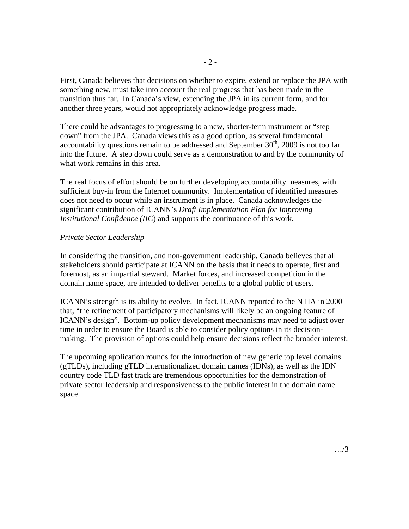First, Canada believes that decisions on whether to expire, extend or replace the JPA with something new, must take into account the real progress that has been made in the transition thus far. In Canada's view, extending the JPA in its current form, and for another three years, would not appropriately acknowledge progress made.

There could be advantages to progressing to a new, shorter-term instrument or "step down" from the JPA. Canada views this as a good option, as several fundamental accountability questions remain to be addressed and September  $30<sup>th</sup>$ , 2009 is not too far into the future. A step down could serve as a demonstration to and by the community of what work remains in this area.

The real focus of effort should be on further developing accountability measures, with sufficient buy-in from the Internet community. Implementation of identified measures does not need to occur while an instrument is in place. Canada acknowledges the significant contribution of ICANN's *Draft Implementation Plan for Improving Institutional Confidence (IIC*) and supports the continuance of this work.

### *Private Sector Leadership*

In considering the transition, and non-government leadership, Canada believes that all stakeholders should participate at ICANN on the basis that it needs to operate, first and foremost, as an impartial steward. Market forces, and increased competition in the domain name space, are intended to deliver benefits to a global public of users.

ICANN's strength is its ability to evolve. In fact, ICANN reported to the NTIA in 2000 that, "the refinement of participatory mechanisms will likely be an ongoing feature of ICANN's design". Bottom-up policy development mechanisms may need to adjust over time in order to ensure the Board is able to consider policy options in its decisionmaking. The provision of options could help ensure decisions reflect the broader interest.

The upcoming application rounds for the introduction of new generic top level domains (gTLDs), including gTLD internationalized domain names (IDNs), as well as the IDN country code TLD fast track are tremendous opportunities for the demonstration of private sector leadership and responsiveness to the public interest in the domain name space.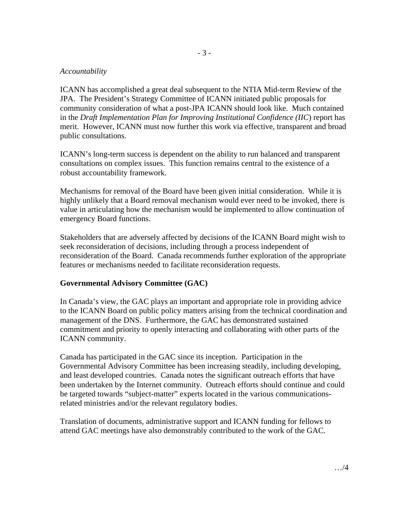### *Accountability*

ICANN has accomplished a great deal subsequent to the NTIA Mid-term Review of the JPA. The President's Strategy Committee of ICANN initiated public proposals for community consideration of what a post-JPA ICANN should look like. Much contained in the *Draft Implementation Plan for Improving Institutional Confidence (IIC*) report has merit. However, ICANN must now further this work via effective, transparent and broad public consultations.

ICANN's long-term success is dependent on the ability to run balanced and transparent consultations on complex issues. This function remains central to the existence of a robust accountability framework.

Mechanisms for removal of the Board have been given initial consideration. While it is highly unlikely that a Board removal mechanism would ever need to be invoked, there is value in articulating how the mechanism would be implemented to allow continuation of emergency Board functions.

Stakeholders that are adversely affected by decisions of the ICANN Board might wish to seek reconsideration of decisions, including through a process independent of reconsideration of the Board. Canada recommends further exploration of the appropriate features or mechanisms needed to facilitate reconsideration requests.

### **Governmental Advisory Committee (GAC)**

In Canada's view, the GAC plays an important and appropriate role in providing advice to the ICANN Board on public policy matters arising from the technical coordination and management of the DNS. Furthermore, the GAC has demonstrated sustained commitment and priority to openly interacting and collaborating with other parts of the ICANN community.

Canada has participated in the GAC since its inception. Participation in the Governmental Advisory Committee has been increasing steadily, including developing, and least developed countries. Canada notes the significant outreach efforts that have been undertaken by the Internet community. Outreach efforts should continue and could be targeted towards "subject-matter" experts located in the various communicationsrelated ministries and/or the relevant regulatory bodies.

Translation of documents, administrative support and ICANN funding for fellows to attend GAC meetings have also demonstrably contributed to the work of the GAC.